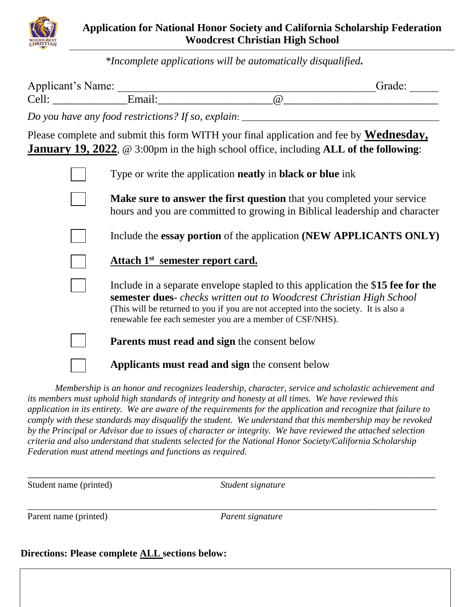

#### **Application for National Honor Society and California Scholarship Federation Woodcrest Christian High School**

*\*Incomplete applications will be automatically disqualified.*

| Applicant's Name: |                                                           |                                                           | Grade:                                                                                                                                                                                                       |
|-------------------|-----------------------------------------------------------|-----------------------------------------------------------|--------------------------------------------------------------------------------------------------------------------------------------------------------------------------------------------------------------|
| Cell:             | Email:                                                    | (a)                                                       |                                                                                                                                                                                                              |
|                   | Do you have any food restrictions? If so, explain: $\Box$ |                                                           |                                                                                                                                                                                                              |
|                   |                                                           |                                                           | Please complete and submit this form WITH your final application and fee by <b>Wednesday</b> ,<br><b>January 19, 2022</b> , $\circledcirc$ 3:00pm in the high school office, including ALL of the following: |
|                   |                                                           | Type or write the application neatly in black or blue ink |                                                                                                                                                                                                              |
|                   |                                                           |                                                           | Make sure to answer the first question that you completed your service<br>hours and you are committed to growing in Biblical leadership and character                                                        |
|                   |                                                           |                                                           | Include the essay portion of the application (NEW APPLICANTS ONLY)                                                                                                                                           |

**Attach 1 st semester report card.**

Include in a separate envelope stapled to this application the \$**15 fee for the semester dues**- *checks written out to Woodcrest Christian High School* (This will be returned to you if you are not accepted into the society. It is also a renewable fee each semester you are a member of CSF/NHS).



**Parents must read and sign** the consent below



**Applicants must read and sign** the consent below

*Membership is an honor and recognizes leadership, character, service and scholastic achievement and its members must uphold high standards of integrity and honesty at all times. We have reviewed this application in its entirety. We are aware of the requirements for the application and recognize that failure to comply with these standards may disqualify the student. We understand that this membership may be revoked by the Principal or Advisor due to issues of character or integrity. We have reviewed the attached selection criteria and also understand that students selected for the National Honor Society/California Scholarship Federation must attend meetings and functions as required.* 

\_\_\_\_\_\_\_\_\_\_\_\_\_\_\_\_\_\_\_\_\_\_\_\_\_\_\_\_\_\_\_\_\_\_\_\_\_\_\_\_\_\_\_\_\_\_\_\_\_\_\_\_\_\_\_\_\_\_\_\_\_\_\_\_\_\_\_\_\_\_\_\_\_\_\_\_\_\_\_\_\_\_\_\_\_\_\_\_\_

\_\_\_\_\_\_\_\_\_\_\_\_\_\_\_\_\_\_\_\_\_\_\_\_\_\_\_\_\_\_\_\_\_\_\_\_\_\_\_\_\_\_\_\_\_\_\_\_\_\_\_\_\_\_\_\_\_\_\_\_\_\_\_\_\_\_\_\_\_\_\_\_\_\_\_\_ Student name (printed) *Student signature*

Parent name (printed) *Parent signature*

**Directions: Please complete ALL sections below:**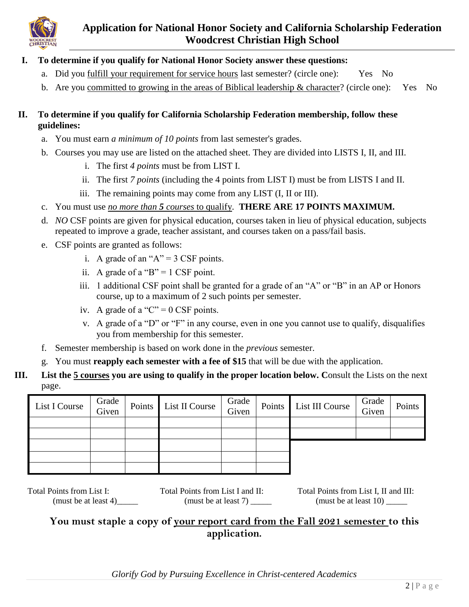

#### **Application for National Honor Society and California Scholarship Federation Woodcrest Christian High School**

- **I. To determine if you qualify for National Honor Society answer these questions:**
	- a. Did you fulfill your requirement for service hours last semester? (circle one): Yes No
	- b. Are you committed to growing in the areas of Biblical leadership & character? (circle one): Yes No

#### **II. To determine if you qualify for California Scholarship Federation membership, follow these guidelines:**

- a. You must earn *a minimum of 10 points* from last semester's grades.
- b. Courses you may use are listed on the attached sheet. They are divided into LISTS I, II, and III.
	- i. The first *4 points* must be from LIST I.
	- ii. The first *7 points* (including the 4 points from LIST I) must be from LISTS I and II.
	- iii. The remaining points may come from any LIST (I, II or III).
- c. You must use *no more than 5 courses* to qualify. **THERE ARE 17 POINTS MAXIMUM.**
- d. *NO* CSF points are given for physical education, courses taken in lieu of physical education, subjects repeated to improve a grade, teacher assistant, and courses taken on a pass/fail basis.
- e. CSF points are granted as follows:
	- i. A grade of an " $A$ " = 3 CSF points.
	- ii. A grade of a " $B$ " = 1 CSF point.
	- iii. 1 additional CSF point shall be granted for a grade of an "A" or "B" in an AP or Honors course, up to a maximum of 2 such points per semester.
	- iv. A grade of a " $C$ " = 0 CSF points.
	- v. A grade of a "D" or "F" in any course, even in one you cannot use to qualify, disqualifies you from membership for this semester.
- f. Semester membership is based on work done in the *previous* semester.
- g. You must **reapply each semester with a fee of \$15** that will be due with the application.
- **III. List the 5 courses you are using to qualify in the proper location below. C**onsult the Lists on the next page.

| List I Course | Grade  <br>Given | Points List II Course | Grade<br>Given | Points List III Course | Grade<br>Given | Points |
|---------------|------------------|-----------------------|----------------|------------------------|----------------|--------|
|               |                  |                       |                |                        |                |        |
|               |                  |                       |                |                        |                |        |
|               |                  |                       |                |                        |                |        |
|               |                  |                       |                |                        |                |        |
|               |                  |                       |                |                        |                |        |

Total Points from List I: Total Points from List I and II: Total Points from List I, II and III: (must be at least 4)  $\qquad (must \text{ be at least 7})$   $\qquad \qquad (must \text{ be at least 10})$ 

#### **You must staple a copy of your report card from the Fall 2021 semester to this application.**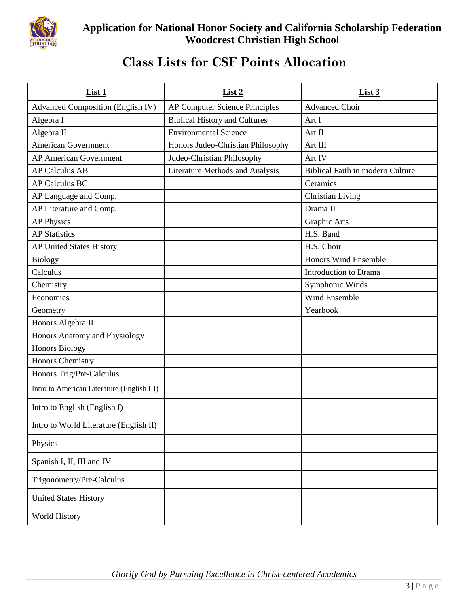

# **Class Lists for CSF Points Allocation**

| List 1                                     | List 2                                 | List 3                                  |  |
|--------------------------------------------|----------------------------------------|-----------------------------------------|--|
| <b>Advanced Composition (English IV)</b>   | <b>AP Computer Science Principles</b>  | <b>Advanced Choir</b>                   |  |
| Algebra I                                  | <b>Biblical History and Cultures</b>   | Art I                                   |  |
| Algebra II                                 | <b>Environmental Science</b>           | Art II                                  |  |
| American Government                        | Honors Judeo-Christian Philosophy      | Art III                                 |  |
| <b>AP American Government</b>              | Judeo-Christian Philosophy             | Art IV                                  |  |
| <b>AP Calculus AB</b>                      | <b>Literature Methods and Analysis</b> | <b>Biblical Faith in modern Culture</b> |  |
| <b>AP Calculus BC</b>                      |                                        | Ceramics                                |  |
| AP Language and Comp.                      |                                        | <b>Christian Living</b>                 |  |
| AP Literature and Comp.                    |                                        | Drama II                                |  |
| <b>AP Physics</b>                          |                                        | <b>Graphic Arts</b>                     |  |
| <b>AP Statistics</b>                       |                                        | H.S. Band                               |  |
| AP United States History                   |                                        | H.S. Choir                              |  |
| <b>Biology</b>                             |                                        | <b>Honors Wind Ensemble</b>             |  |
| Calculus                                   |                                        | Introduction to Drama                   |  |
| Chemistry                                  |                                        | Symphonic Winds                         |  |
| Economics                                  |                                        | Wind Ensemble                           |  |
| Geometry                                   |                                        | Yearbook                                |  |
| Honors Algebra II                          |                                        |                                         |  |
| Honors Anatomy and Physiology              |                                        |                                         |  |
| <b>Honors Biology</b>                      |                                        |                                         |  |
| Honors Chemistry                           |                                        |                                         |  |
| Honors Trig/Pre-Calculus                   |                                        |                                         |  |
| Intro to American Literature (English III) |                                        |                                         |  |
| Intro to English (English I)               |                                        |                                         |  |
| Intro to World Literature (English II)     |                                        |                                         |  |
| Physics                                    |                                        |                                         |  |
| Spanish I, II, III and IV                  |                                        |                                         |  |
| Trigonometry/Pre-Calculus                  |                                        |                                         |  |
| <b>United States History</b>               |                                        |                                         |  |
| World History                              |                                        |                                         |  |